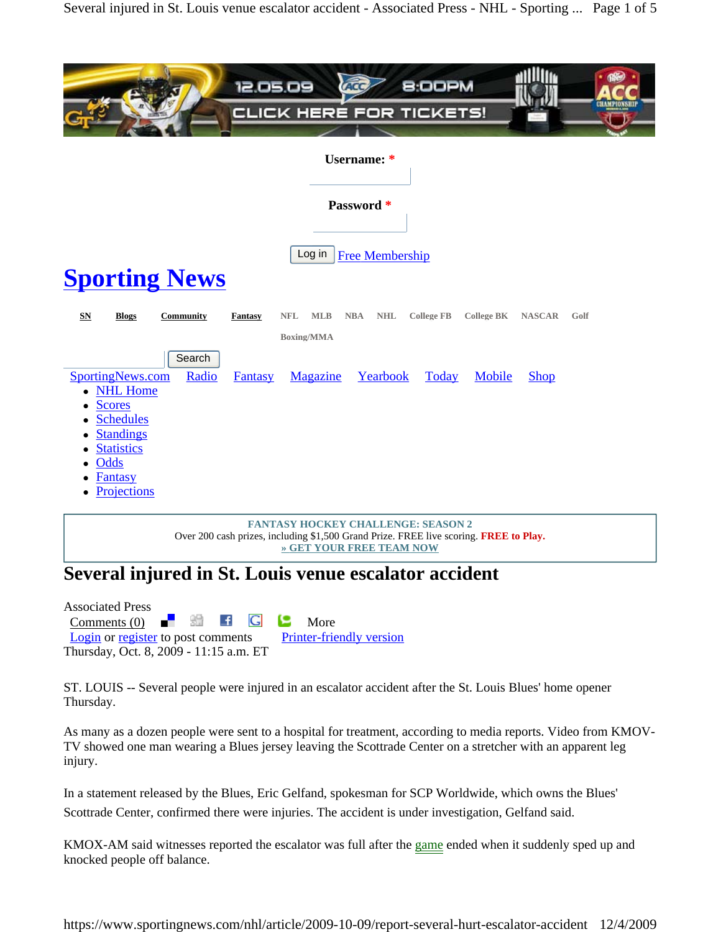

**FANTASY HOCKEY CHALLENGE: SEASON 2** Over 200 cash prizes, including \$1,500 Grand Prize. FREE live scoring. **FREE to Play. » GET YOUR FREE TEAM NOW**

## **Several injured in St. Louis venue escalator accident**

Associated Press Comments (0)  $\blacksquare$   $\blacksquare$   $\blacksquare$   $\blacksquare$   $\blacksquare$  More Login or register to post comments Printer-friendly version Thursday, Oct. 8, 2009 - 11:15 a.m. ET

ST. LOUIS -- Several people were injured in an escalator accident after the St. Louis Blues' home opener Thursday.

As many as a dozen people were sent to a hospital for treatment, according to media reports. Video from KMOV-TV showed one man wearing a Blues jersey leaving the Scottrade Center on a stretcher with an apparent leg injury.

In a statement released by the Blues, Eric Gelfand, spokesman for SCP Worldwide, which owns the Blues'

Scottrade Center, confirmed there were injuries. The accident is under investigation, Gelfand said.

KMOX-AM said witnesses reported the escalator was full after the game ended when it suddenly sped up and knocked people off balance.